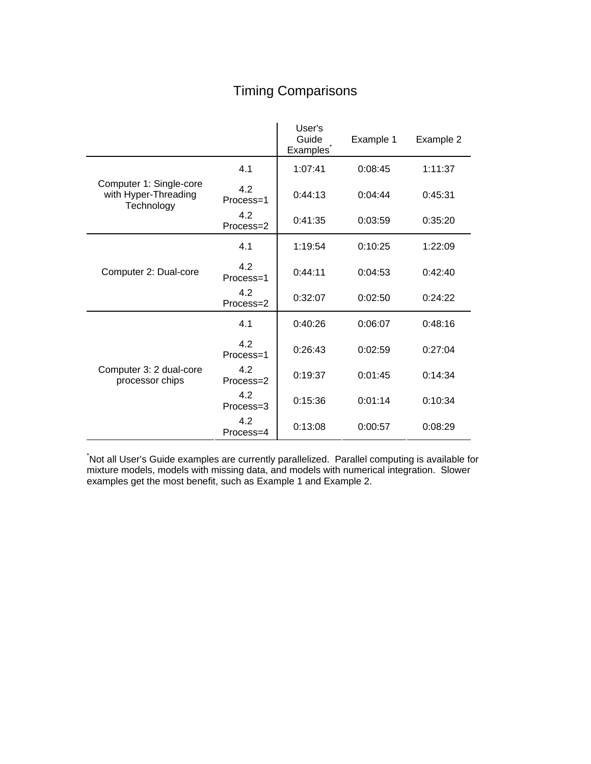# Timing Comparisons

|                                                               |                  | User's<br>Guide<br>Examples <sup>®</sup> | Example 1 | Example 2 |
|---------------------------------------------------------------|------------------|------------------------------------------|-----------|-----------|
| Computer 1: Single-core<br>with Hyper-Threading<br>Technology | 4.1              | 1:07:41                                  | 0:08:45   | 1:11:37   |
|                                                               | 4.2<br>Process=1 | 0:44:13                                  | 0:04:44   | 0:45:31   |
|                                                               | 4.2<br>Process=2 | 0:41:35                                  | 0:03:59   | 0:35:20   |
| Computer 2: Dual-core                                         | 4.1              | 1:19:54                                  | 0:10:25   | 1:22:09   |
|                                                               | 4.2<br>Process=1 | 0:44:11                                  | 0:04:53   | 0:42:40   |
|                                                               | 4.2<br>Process=2 | 0:32:07                                  | 0:02:50   | 0:24:22   |
| Computer 3: 2 dual-core<br>processor chips                    | 4.1              | 0:40:26                                  | 0:06:07   | 0:48:16   |
|                                                               | 4.2<br>Process=1 | 0:26:43                                  | 0:02:59   | 0:27:04   |
|                                                               | 4.2<br>Process=2 | 0:19:37                                  | 0:01:45   | 0:14:34   |
|                                                               | 4.2<br>Process=3 | 0:15:36                                  | 0:01:14   | 0:10:34   |
|                                                               | 4.2<br>Process=4 | 0:13:08                                  | 0:00:57   | 0:08:29   |

\* Not all User's Guide examples are currently parallelized. Parallel computing is available for mixture models, models with missing data, and models with numerical integration. Slower examples get the most benefit, such as Example 1 and Example 2.